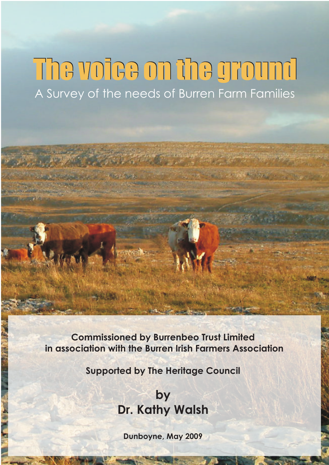# The voice on the ground A Survey of the needs of Burren Farm Families

**Commissioned by Burrenbeo Trust Limited in association with the Burren Irish Farmers Association**

**Supported by The Heritage Council**

# **by Dr. Kathy Walsh**

**Dunboyne, May 2009**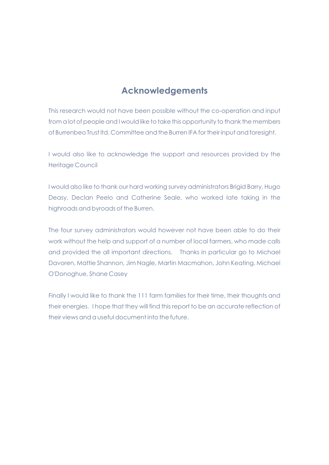# **Acknowledgements**

This research would not have been possible without the co-operation and input from a lot of people and I would like to take this opportunity to thank the members of Burrenbeo Trust ltd. Committee and the Burren IFA for their input and foresight.

I would also like to acknowledge the support and resources provided by the Heritage Council

I would also like to thank our hard working survey administrators Brigid Barry, Hugo Deasy, Declan Peelo and Catherine Seale, who worked late taking in the highroads and byroads of the Burren.

The four survey administrators would however not have been able to do their work without the help and support of a number of local farmers, who made calls and provided the all important directions. Thanks in particular go to Michael Davoren, Mattie Shannon, Jim Nagle, Martin Macmahon, John Keating, Michael O'Donoghue, Shane Casey

Finally I would like to thank the 111 farm families for their time, their thoughts and their energies. I hope that they will find this report to be an accurate reflection of their views and a useful document into the future.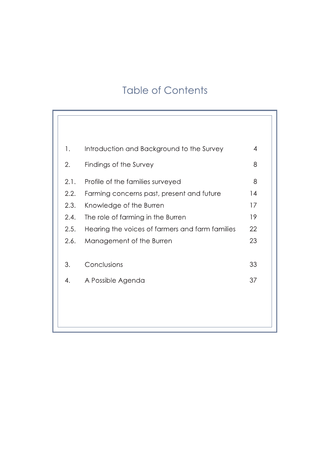# **Table of Contents**

| 1.   | Introduction and Background to the Survey       | $\overline{4}$ |
|------|-------------------------------------------------|----------------|
| 2.   | Findings of the Survey                          | 8              |
| 2.1. | Profile of the families surveyed                | 8              |
| 2.2. | Farming concerns past, present and future       | 14             |
| 2.3. | Knowledge of the Burren                         | 17             |
| 2.4. | The role of farming in the Burren               | 19             |
| 2.5. | Hearing the voices of farmers and farm families | 22             |
| 2.6. | Management of the Burren                        | 23             |
|      |                                                 |                |
| 3.   | Conclusions                                     | 33             |
| 4.   | A Possible Agenda                               | 37             |
|      |                                                 |                |
|      |                                                 |                |
|      |                                                 |                |
|      |                                                 |                |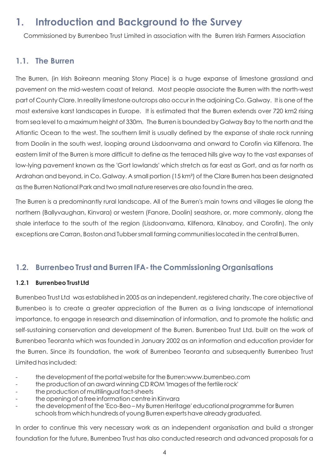# **1. Introduction and Background to the Survey**

Commissioned by Burrenbeo Trust Limited in association with the Burren Irish Farmers Association

### **1.1. The Burren**

The Burren, (in Irish Boireann meaning Stony Place) is a huge expanse of limestone grassland and pavement on the mid-western coast of Ireland. Most people associate the Burren with the north-west part of County Clare. In reality limestone outcrops also occur in the adjoining Co. Galway. It is one of the most extensive karst landscapes in Europe. It is estimated that the Burren extends over 720 km2 rising from sea level to a maximum height of 330m. The Burren is bounded by Galway Bay to the north and the Atlantic Ocean to the west. The southern limit is usually defined by the expanse of shale rock running from Doolin in the south west, looping around Lisdoonvarna and onward to Corofin via Kilfenora. The eastern limit of the Burren is more difficult to define as the terraced hills give way to the vast expanses of low-lying pavement known as the 'Gort lowlands' which stretch as far east as Gort, and as far north as Ardrahan and beyond, in Co. Galway. A small portion (15 km²) of the Clare Burren has been designated as the Burren National Park and two small nature reserves are also found in the area.

The Burren is a predominantly rural landscape. All of the Burren's main towns and villages lie along the northern (Ballyvaughan, Kinvara) or western (Fanore, Doolin) seashore, or, more commonly, along the shale interface to the south of the region (Lisdoonvarna, Kilfenora, Kilnaboy, and Corofin). The only exceptions are Carran, Boston and Tubber small farming communities located in the central Burren.

# **1.2. Burrenbeo Trust and Burren IFA- the Commissioning Organisations**

#### **1.2.1 Burrenbeo Trust Ltd**

Burrenbeo Trust Ltd was established in 2005 as an independent, registered charity. The core objective of Burrenbeo is to create a greater appreciation of the Burren as a living landscape of international importance, to engage in research and dissemination of information, and to promote the holistic and self-sustaining conservation and development of the Burren. Burrenbeo Trust Ltd. built on the work of Burrenbeo Teoranta which was founded in January 2002 as an information and education provider for the Burren. Since its foundation, the work of Burrenbeo Teoranta and subsequently Burrenbeo Trust Limited has included:

- the development of the portal website for the Burren:www.burrenbeo.com
- the production of an award winning CD ROM 'Images of the fertile rock'
- the production of multilingual fact-sheets
- the opening of a free information centre in Kinvara
- the development of the 'Eco-Beo My Burren Heritage' educational programme for Burren schools from which hundreds of young Burren experts have already graduated.

In order to continue this very necessary work as an independent organisation and build a stronger foundation for the future, Burrenbeo Trust has also conducted research and advanced proposals for a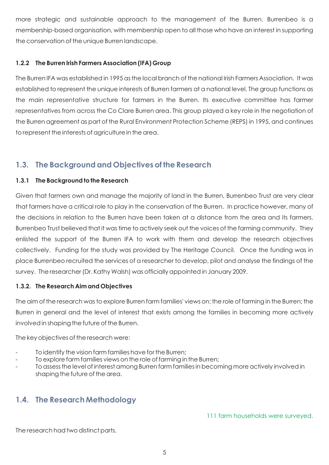more strategic and sustainable approach to the management of the Burren. Burrenbeo is a membership-based organisation, with membership open to all those who have an interest in supporting the conservation of the unique Burren landscape.

#### **1.2.2 The Burren Irish Farmers Association (IFA) Group**

The Burren IFA was established in 1995 as the local branch of the national Irish Farmers Association. It was established to represent the unique interests of Burren farmers at a national level. The group functions as the main representative structure for farmers in the Burren. Its executive committee has farmer representatives from across the Co Clare Burren area. This group played a key role in the negotiation of the Burren agreement as part of the Rural Environment Protection Scheme (REPS) in 1995, and continues to represent the interests of agriculture in the area.

# **1.3. The Background and Objectives of the Research**

#### **1.3.1 The Background to the Research**

Given that farmers own and manage the majority of land in the Burren, Burrenbeo Trust are very clear that farmers have a critical role to play in the conservation of the Burren. In practice however, many of the decisions in relation to the Burren have been taken at a distance from the area and its farmers. Burrenbeo Trust believed that it was time to actively seek out the voices of the farming community. They enlisted the support of the Burren IFA to work with them and develop the research objectives collectively. Funding for the study was provided by The Heritage Council. Once the funding was in place Burrenbeo recruited the services of a researcher to develop, pilot and analyse the findings of the survey. The researcher (Dr. Kathy Walsh) was officially appointed in January 2009.

#### **1.3.2. The Research Aim and Objectives**

The aim of the research was to explore Burren farm families' views on: the role of farming in the Burren; the Burren in general and the level of interest that exists among the families in becoming more actively involved in shaping the future of the Burren.

The key objectives of the research were:

- To identify the vision farm families have for the Burren;
- To explore farm families views on the role of farming in the Burren;
- To assess the level of interest among Burren farm families in becoming more actively involved in shaping the future of the area.

# **1.4. The Research Methodology**

111 farm households were surveyed.

The research had two distinct parts.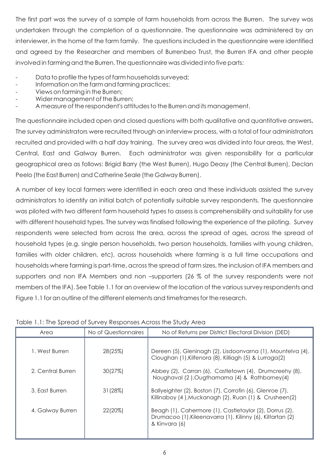The first part was the survey of a sample of farm households from across the Burren. The survey was undertaken through the completion of a questionnaire. The questionnaire was administered by an interviewer, in the home of the farm family. The questions included in the questionnaire were identified and agreed by the Researcher and members of Burrenbeo Trust, the Burren IFA and other people involved in farming and the Burren. The questionnaire was divided into five parts:

- Data to profile the types of farm households surveyed;
- Information on the farm and farming practices;
- Views on farming in the Burren;
- Wider management of the Burren;
- A measure of the respondent's attitudes to the Burren and its management.

The questionnaire included open and closed questions with both qualitative and quantitative answers**.** The survey administrators were recruited through an interview process, with a total of four administrators recruited and provided with a half day training. The survey area was divided into four areas, the West, Central, East and Galway Burren. Each administrator was given responsibility for a particular geographical area as follows: Brigid Barry (the West Burren), Hugo Deasy (the Central Burren), Declan Peelo (the East Burren) and Catherine Seale (the Galway Burren).

A number of key local farmers were identified in each area and these individuals assisted the survey administrators to identify an initial batch of potentially suitable survey respondents. The questionnaire was piloted with two different farm household types to assess is comprehensibility and suitability for use with different household types. The survey was finalised following the experience of the piloting. Survey respondents were selected from across the area, across the spread of ages, across the spread of household types (e.g. single person households, two person households, families with young children, families with older children, etc), across households where farming is a full time occupations and households where farming is part-time, across the spread of farm sizes, the inclusion of IFA members and supporters and non IFA Members and non –supporters (26 % of the survey respondents were not members of the IFA). See Table 1.1 for an overview of the location of the various survey respondents and Figure 1.1 for an outline of the different elements and timeframes for the research.

#### Table 1.1: The Spread of Survey Responses Across the Study Area

| Area              | No of Questionnaires | No of Returns per District Electoral Division (DED)                                                                                    |
|-------------------|----------------------|----------------------------------------------------------------------------------------------------------------------------------------|
| 1. West Burren    | 28(25%)              | Dereen (5), Gleninagh (2), Lisdoonvarna (1), Mountelva (4),<br>Cloughan (1), Kilfenora (8), Killiagh (5) & Lurraga(2)                  |
| 2. Central Burren | 30(27%)              | Abbey (2), Carran (6), Castletown (4), Drumcreehy (8),<br>Noughaval (2), Ougthamama (4) & Rathborney (4)                               |
| 3. Fast Burren    | 31(28%)              | Ballyeighter (2), Boston (7), Corrofin (6), Glenroe (7),<br>Killinaboy (4), Muckanagh (2), Ruan (1) & Crusheen (2)                     |
| 4. Galway Burren  | 22(20%)              | Beagh (1), Cahermore (1), Castletaylor (2), Dorrus (2),<br>Drumacoo (1), Kileenavarra (1), Kilinny (6), Kiltartan (2)<br>& Kinvara (6) |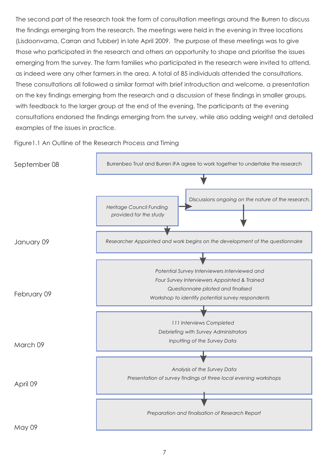The second part of the research took the form of consultation meetings around the Burren to discuss the findings emerging from the research. The meetings were held in the evening in three locations (Lisdoonvarna, Carran and Tubber) in late April 2009. The purpose of these meetings was to give those who participated in the research and others an opportunity to shape and prioritise the issues emerging from the survey. The farm families who participated in the research were invited to attend, as indeed were any other farmers in the area. A total of 85 individuals attended the consultations. These consultations all followed a similar format with brief introduction and welcome, a presentation on the key findings emerging from the research and a discussion of these findings in smaller groups, with feedback to the larger group at the end of the evening. The participants at the evening consultations endorsed the findings emerging from the survey, while also adding weight and detailed examples of the issues in practice.



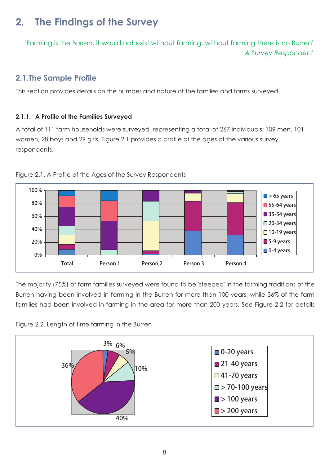# **2. The Findings of the Survey**

' Farming is the Burren, it would not exist without farming, without farming there is no Burren'  *A Survey Respondent*

# **2.1.The Sample Profile**

This section provides details on the number and nature of the families and farms surveyed.

#### **2.1.1. A Profile of the Families Surveyed**

A total of 111 farm households were surveyed, representing a total of 267 individuals: 109 men, 101 women, 28 boys and 29 girls. Figure 2.1 provides a profile of the ages of the various survey respondents.



Figure 2.1. A Profile of the Ages of the Survey Respondents

The majority (75%) of farm families surveyed were found to be 'steeped' in the farming traditions of the Burren having been involved in farming in the Burren for more than 100 years, while 36% of the farm families had been involved in farming in the area for more than 200 years. See Figure 2.2 for details



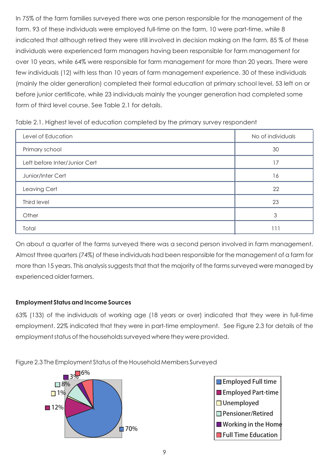In 75% of the farm families surveyed there was one person responsible for the management of the farm. 93 of these individuals were employed full-time on the farm, 10 were part-time, while 8 indicated that although retired they were still involved in decision making on the farm. 85 % of these individuals were experienced farm managers having been responsible for farm management for over 10 years, while 64% were responsible for farm management for more than 20 years. There were few individuals (12) with less than 10 years of farm management experience. 30 of these individuals (mainly the older generation) completed their formal education at primary school level, 53 left on or before junior certificate, while 23 individuals mainly the younger generation had completed some form of third level course. See Table 2.1 for details.

| Table 2.1. Highest level of education completed by the primary survey respondent |  |
|----------------------------------------------------------------------------------|--|
|                                                                                  |  |

| Level of Education            | No of individuals |
|-------------------------------|-------------------|
| Primary school                | 30                |
| Left before Inter/Junior Cert | 17                |
| Junior/Inter Cert             | 16                |
| Leaving Cert                  | 22                |
| Third level                   | 23                |
| Other                         | 3                 |
| Total                         |                   |

On about a quarter of the farms surveyed there was a second person involved in farm management. Almost three quarters (74%) of these individuals had been responsible for the management of a farm for more than 15 years. This analysis suggests that that the majority of the farms surveyed were managed by experienced older farmers.

#### **Employment Status and Income Sources**

63% (133) of the individuals of working age (18 years or over) indicated that they were in full-time employment. 22% indicated that they were in part-time employment. See Figure 2.3 for details of the employment status of the households surveyed where they were provided.

Figure 2.3 The Employment Status of the Household Members Surveyed



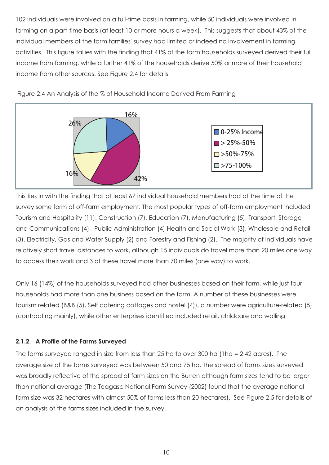102 individuals were involved on a full-time basis in farming, while 50 individuals were involved in farming on a part-time basis (at least 10 or more hours a week). This suggests that about 43% of the individual members of the farm families' survey had limited or indeed no involvement in farming activities. This figure tallies with the finding that 41% of the farm households surveyed derived their full income from farming, while a further 41% of the households derive 50% or more of their household income from other sources. See Figure 2.4 for details



Figure 2.4 An Analysis of the % of Household Income Derived From Farming

This ties in with the finding that at least 67 individual household members had at the time of the survey some form of off-farm employment. The most popular types of off-farm employment included Tourism and Hospitality (11), Construction (7), Education (7), Manufacturing (5), Transport, Storage and Communications (4), Public Administration (4) Health and Social Work (3), Wholesale and Retail (3), Electricity, Gas and Water Supply (2) and Forestry and Fishing (2). The majority of individuals have relatively short travel distances to work, although 15 individuals do travel more than 20 miles one way to access their work and 3 of these travel more than 70 miles (one way) to work.

Only 16 (14%) of the households surveyed had other businesses based on their farm, while just four households had more than one business based on the farm. A number of these businesses were tourism related (B&B (5), Self catering cottages and hostel (4)), a number were agriculture-related (5) (contracting mainly), while other enterprises identified included retail, childcare and walling

# **2.1.2. A Profile of the Farms Surveyed**

The farms surveyed ranged in size from less than 25 ha to over 300 ha (1ha = 2.42 acres). The average size of the farms surveyed was between 50 and 75 ha. The spread of farms sizes surveyed was broadly reflective of the spread of farm sizes on the Burren although farm sizes tend to be larger than national average (The Teagasc National Farm Survey (2002) found that the average national farm size was 32 hectares with almost 50% of farms less than 20 hectares). See Figure 2.5 for details of an analysis of the farms sizes included in the survey.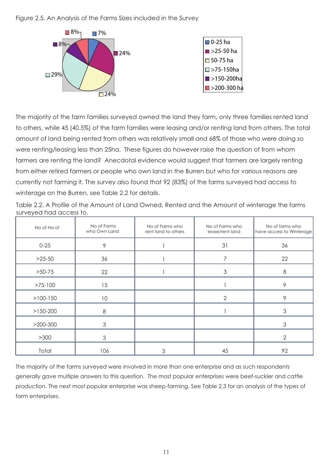Figure 2.5. An Analysis of the Farms Sizes included in the Survey



The majority of the farm families surveyed owned the land they farm, only three families rented land to others, while 45 (40.5%) of the farm families were leasing and/or renting land from others. The total amount of land being rented from others was relatively small and 68% of those who were doing so were renting/leasing less than 25ha. These figures do however raise the question of from whom farmers are renting the land? Anecdotal evidence would suggest that farmers are largely renting from either retired farmers or people who own land in the Burren but who for various reasons are currently not farming it. The survey also found that 92 (83%) of the farms surveyed had access to winterage on the Burren, see Table 2.2 for details.

|                         |  | Table 2.2. A Profile of the Amount of Land Owned, Rented and the Amount of winterage the farms |
|-------------------------|--|------------------------------------------------------------------------------------------------|
| surveyed had access to. |  |                                                                                                |

| No of Ha of | No of Farms<br>who Own Land | No of Farms who<br>rent land to others | No of Farms who<br>lease/rent land | No of farms who<br>have access to Winterage |  |
|-------------|-----------------------------|----------------------------------------|------------------------------------|---------------------------------------------|--|
| $0 - 25$    | 9                           |                                        | 31                                 | 36                                          |  |
| $>25-50$    | 36                          |                                        | 7                                  | 22                                          |  |
| $>50-75$    | 22                          |                                        | 3                                  | 8                                           |  |
| $>75-100$   | 15                          |                                        |                                    | 9                                           |  |
| $>100-150$  | 10                          |                                        | $\overline{2}$                     | 9                                           |  |
| $>150-200$  | 8                           |                                        |                                    | 3                                           |  |
| $>200-300$  | 3                           |                                        |                                    | $\mathfrak{Z}$                              |  |
| >300        | 3                           |                                        |                                    | $\overline{2}$                              |  |
| Total       | 106                         | 3                                      | 45                                 | 92                                          |  |

The majority of the farms surveyed were involved in more than one enterprise and as such respondents generally gave multiple answers to this question. The most popular enterprises were beef-suckler and cattle production. The next most popular enterprise was sheep-farming. See Table 2.3 for an analysis of the types of farm enterprises.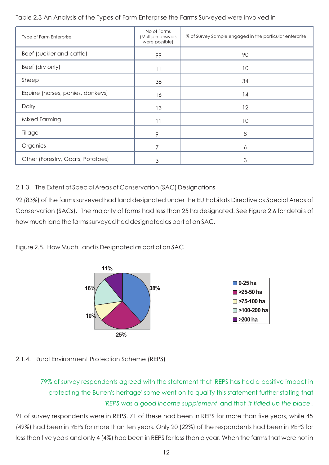#### Table 2.3 An Analysis of the Types of Farm Enterprise the Farms Surveyed were involved in

| Type of Farm Enterprise           | No of Farms<br>(Multiple answers<br>were possible) | % of Survey Sample engaged in the particular enterprise |
|-----------------------------------|----------------------------------------------------|---------------------------------------------------------|
| Beef (suckler and cattle)         | 99                                                 | 90                                                      |
| Beef (dry only)                   | 11                                                 | 10                                                      |
| Sheep                             | 38                                                 | 34                                                      |
| Equine (horses, ponies, donkeys)  | 16                                                 | 14                                                      |
| Dairy                             | 13                                                 | 12                                                      |
| Mixed Farming                     | 11                                                 | 10                                                      |
| Tillage                           | 9                                                  | 8                                                       |
| Organics                          |                                                    | 6                                                       |
| Other (Forestry, Goats, Potatoes) | 3                                                  | 3                                                       |

#### 2.1.3. The Extent of Special Areas of Conservation (SAC) Designations

92 (83%) of the farms surveyed had land designated under the EU Habitats Directive as Special Areas of Conservation (SACs). The majority of farms had less than 25 ha designated. See Figure 2.6 for details of how much land the farms surveyed had designated as part of an SAC.

Figure 2.8. How Much Land is Designated as part of an SAC



#### 2.1.4. Rural Environment Protection Scheme (REPS)

79% of survey respondents agreed with the statement that 'REPS has had a positive impact in protecting the Burren's heritage' some went on to qualify this statement further stating that *'REPS was a good income supplement'* and that *'it tidied up the place'.*

91 of survey respondents were in REPS. 71 of these had been in REPS for more than five years, while 45 (49%) had been in REPs for more than ten years. Only 20 (22%) of the respondents had been in REPS for less than five years and only 4 (4%) had been in REPS for less than a year. When the farms that were not in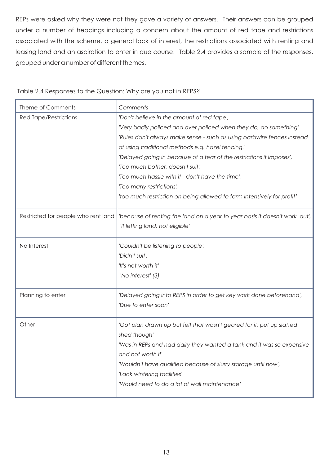REPs were asked why they were not they gave a variety of answers. Their answers can be grouped under a number of headings including a concern about the amount of red tape and restrictions associated with the scheme, a general lack of interest, the restrictions associated with renting and leasing land and an aspiration to enter in due course. Table 2.4 provides a sample of the responses, grouped under a number of different themes.

| Theme of Comments                   | Comments                                                                   |
|-------------------------------------|----------------------------------------------------------------------------|
| <b>Red Tape/Restrictions</b>        | 'Don't believe in the amount of red tape',                                 |
|                                     | 'Very badly policed and over policed when they do, do something'.          |
|                                     | 'Rules don't always make sense - such as using barbwire fences instead     |
|                                     | of using traditional methods e.g. hazel fencing."                          |
|                                     | 'Delayed going in because of a fear of the restrictions it imposes',       |
|                                     | 'Too much bother, doesn't suit',                                           |
|                                     | 'Too much hassle with it - don't have the time',                           |
|                                     | 'Too many restrictions',                                                   |
|                                     | 'too much restriction on being allowed to farm intensively for profit'     |
| Restricted for people who rent land | 'because of renting the land on a year to year basis it doesn't work out', |
|                                     | 'If letting land, not eligible'                                            |
| No Interest                         | 'Couldn't be listening to people',                                         |
|                                     | 'Didn't suit',                                                             |
|                                     | 'It's not worth it'                                                        |
|                                     | 'No interest' (3)                                                          |
| Planning to enter                   | 'Delayed going into REPS in order to get key work done beforehand',        |
|                                     | 'Due to enter soon'                                                        |
| Other                               | 'Got plan drawn up but felt that wasn't geared for it, put up slatted      |
|                                     | shed though'                                                               |
|                                     | 'Was in REPs and had dairy they wanted a tank and it was so expensive      |
|                                     | and not worth it'                                                          |
|                                     | 'Wouldn't have qualified because of slurry storage until now',             |
|                                     | 'Lack wintering facilities'                                                |
|                                     | 'Would need to do a lot of wall maintenance'                               |
|                                     |                                                                            |

#### Table 2.4 Responses to the Question: Why are you not in REPS?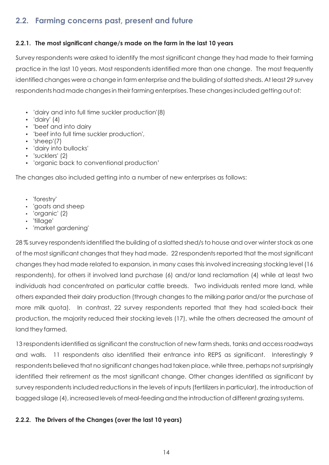# **2.2. Farming concerns past, present and future**

### **2.2.1. The most significant change/s made on the farm in the last 10 years**

Survey respondents were asked to identify the most significant change they had made to their farming practice in the last 10 years. Most respondents identified more than one change. The most frequently identified changes were a change in farm enterprise and the building of slatted sheds. At least 29 survey respondents had made changes in their farming enterprises. These changes included getting out of:

- 'dairy and into full time suckler production'(8)<br>• 'dairy' (4)
- 
- 'beef and into dairy
- 'beef and into dairy<br>• 'beef into full time su • 'beef into full time suckler production',<br>• 'sheep'(7)
- 
- 'sheep'(7)<br>• 'dairy into • 'dairy into bullocks'<br>• 'sucklers' (2)
- 
- 'sucklers' (2)<br>• 'organic back to conventional production'

The changes also included getting into a number of new enterprises as follows:

- 
- 'forestry'<br>• 'goats and sheep • 'goats and sheep<br>• 'organic' (2)
- 'organic' (2)<br>• 'tillage'
- 
- ?'tillage' 'market gardening'

28 % survey respondents identified the building of a slatted shed/s to house and over winter stock as one of the most significant changes that they had made. 22 respondents reported that the most significant changes they had made related to expansion, in many cases this involved increasing stocking level (16 respondents), for others it involved land purchase (6) and/or land reclamation (4) while at least two individuals had concentrated on particular cattle breeds. Two individuals rented more land, while others expanded their dairy production (through changes to the milking parlor and/or the purchase of more milk quota). In contrast, 22 survey respondents reported that they had scaled-back their production, the majority reduced their stocking levels (17), while the others decreased the amount of land they farmed.

13 respondents identified as significant the construction of new farm sheds, tanks and access roadways and walls. 11 respondents also identified their entrance into REPS as significant. Interestingly 9 respondents believed that no significant changes had taken place, while three, perhaps not surprisingly identified their retirement as the most significant change. Other changes identified as significant by survey respondents included reductions in the levels of inputs (fertilizers in particular), the introduction of bagged silage (4), increased levels of meal-feeding and the introduction of different grazing systems.

#### **2.2.2. The Drivers of the Changes (over the last 10 years)**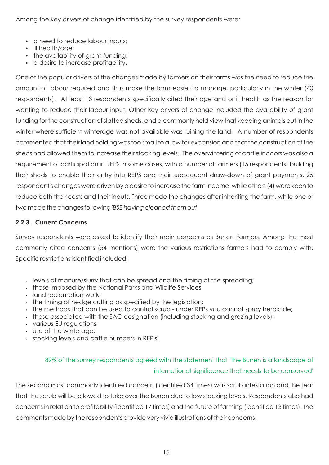Among the key drivers of change identified by the survey respondents were:

- a need to reduce labour inputs;<br>• ill health/age;
- 
- the availability of grant-funding; • the availability of grant-funding;<br>• a desire to increase profitability.
- 

One of the popular drivers of the changes made by farmers on their farms was the need to reduce the amount of labour required and thus make the farm easier to manage, particularly in the winter (40 respondents). At least 13 respondents specifically cited their age and or ill health as the reason for wanting to reduce their labour input. Other key drivers of change included the availability of grant funding for the construction of slatted sheds, and a commonly held view that keeping animals out in the winter where sufficient winterage was not available was ruining the land. A number of respondents commented that their land holding was too small to allow for expansion and that the construction of the sheds had allowed them to increase their stocking levels. The overwintering of cattle indoors was also a requirement of participation in REPS in some cases, with a number of farmers (15 respondents) building their sheds to enable their entry into REPS and their subsequent draw-down of grant payments. 25 respondent's changes were driven by a desire to increase the farm income, while others (4) were keen to reduce both their costs and their inputs. Three made the changes after inheriting the farm, while one or two made the changes following *'BSE having cleaned them out'*

#### **2.2.3. Current Concerns**

Survey respondents were asked to identify their main concerns as Burren Farmers. Among the most commonly cited concerns (54 mentions) were the various restrictions farmers had to comply with. Specific restrictions identified included:

- ??levels of manure/slurry that can be spread and the timing of the spreading;
- those imposed by the National Parks and Wildlife Services<br>• land reclamation work;
- 
- . the timing of hedge cutting as specified by the legislation;
- . the methods that can be used to control scrub under REPs you cannot spray herbicide; • the methods that can be used to control scrub - under REPs you cannot spray herbicide;<br>• those associated with the SAC designation (including stocking and grazing levels);
- those associated with the SAC designation (including stocking and grazing levels);<br>• various EU regulations;
- various EU regulations;<br>• use of the winterage;
- 
- use of the winterage;<br>• stocking levels and cattle numbers in REP's'.

# 89% of the survey respondents agreed with the statement that 'The Burren is a landscape of international significance that needs to be conserved'

The second most commonly identified concern (identified 34 times) was scrub infestation and the fear that the scrub will be allowed to take over the Burren due to low stocking levels. Respondents also had concerns in relation to profitability (identified 17 times) and the future of farming (identified 13 times). The comments made by the respondents provide very vivid illustrations of their concerns.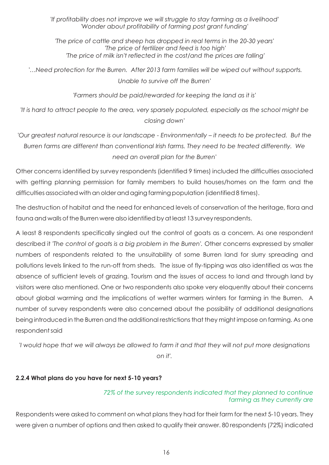*'If profitability does not improve we will struggle to stay farming as a livelihood' 'Wonder about profitability of farming post grant funding'*

*'The price of cattle and sheep has dropped in real terms in the 20-30 years' 'The price of fertilizer and feed is too high' 'The price of milk isn't reflected in the cost/and the prices are falling'*

 *'…Need protection for the Burren. After 2013 farm families will be wiped out without supports. Unable to survive off the Burren'*

*'Farmers should be paid/rewarded for keeping the land as it is'*

*'It is hard to attract people to the area, very sparsely populated, especially as the school might be closing down'*

'Our greatest natural resource is our landscape - Environmentally - it needs to be protected. But the *Burren farms are different than conventional Irish farms. They need to be treated differently. We need an overall plan for the Burren'*

Other concerns identified by survey respondents (identified 9 times) included the difficulties associated with getting planning permission for family members to build houses/homes on the farm and the difficulties associated with an older and aging farming population (identified 8 times).

The destruction of habitat and the need for enhanced levels of conservation of the heritage, flora and fauna and walls of the Burren were also identified by at least 13 survey respondents.

A least 8 respondents specifically singled out the control of goats as a concern. As one respondent described it *'The control of goats is a big problem in the Burren'.* Other concerns expressed by smaller numbers of respondents related to the unsuitability of some Burren land for slurry spreading and pollutions levels linked to the run-off from sheds. The issue of fly-tipping was also identified as was the absence of sufficient levels of grazing. Tourism and the issues of access to land and through land by visitors were also mentioned. One or two respondents also spoke very eloquently about their concerns about global warming and the implications of wetter warmers winters for farming in the Burren. A number of survey respondents were also concerned about the possibility of additional designations being introduced in the Burren and the additional restrictions that they might impose on farming. As one respondent said

*'I would hope that we will always be allowed to farm it and that they will not put more designations on it'.*

#### **2.2.4 What plans do you have for next 5-10 years?**

#### *72% of the survey respondents indicated that they planned to continue farming as they currently are*

Respondents were asked to comment on what plans they had for their farm for the next 5-10 years. They were given a number of options and then asked to qualify their answer. 80 respondents (72%) indicated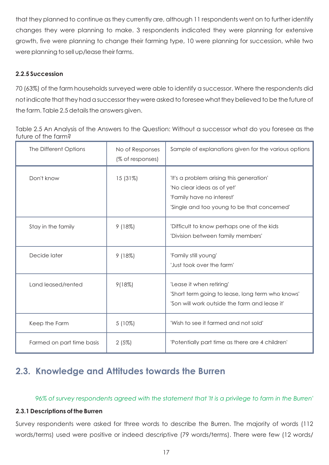that they planned to continue as they currently are, although 11 respondents went on to further identify changes they were planning to make. 3 respondents indicated they were planning for extensive growth, five were planning to change their farming type, 10 were planning for succession, while two were planning to sell up/lease their farms.

#### **2.2.5 Succession**

70 (63%) of the farm households surveyed were able to identify a successor. Where the respondents did not indicate that they had a successor they were asked to foresee what they believed to be the future of the farm. Table 2.5 details the answers given.

| Table 2.5 An Analysis of the Answers to the Question: Without a successor what do you foresee as the |  |
|------------------------------------------------------------------------------------------------------|--|
| future of the farm?                                                                                  |  |

| The Different Options     | No of Responses<br>(% of responses) | Sample of explanations given for the various options                                                                                               |
|---------------------------|-------------------------------------|----------------------------------------------------------------------------------------------------------------------------------------------------|
| Don't know                | 15 (31%)                            | 'It's a problem arising this generation'<br>'No clear ideas as of yet'<br>'Family have no interest'<br>'Single and too young to be that concerned' |
| Stay in the family        | 9(18%)                              | 'Difficult to know perhaps one of the kids<br>'Division between family members'                                                                    |
| Decide later              | 9(18%)                              | 'Family still young'<br>'Just took over the farm'                                                                                                  |
| Land leased/rented        | 9(18%)                              | 'Lease it when retiring'<br>'Short term going to lease, long term who knows'<br>'Son will work outside the farm and lease it'                      |
| Keep the Farm             | $5(10\%)$                           | 'Wish to see it farmed and not sold'                                                                                                               |
| Farmed on part time basis | 2(5%)                               | 'Potentially part time as there are 4 children'                                                                                                    |

# **2.3. Knowledge and Attitudes towards the Burren**

*96% of survey respondents agreed with the statement that 'It is a privilege to farm in the Burren'*

#### **2.3.1 Descriptions of the Burren**

Survey respondents were asked for three words to describe the Burren. The majority of words (112 words/terms) used were positive or indeed descriptive (79 words/terms). There were few (12 words/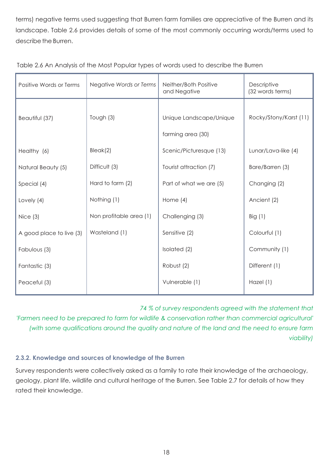terms) negative terms used suggesting that Burren farm families are appreciative of the Burren and its landscape. Table 2.6 provides details of some of the most commonly occurring words/terms used to describe the Burren.

| Positive Words or Terms  | Negative Words or Terms | Neither/Both Positive<br>and Negative        | Descriptive<br>(32 words terms) |  |
|--------------------------|-------------------------|----------------------------------------------|---------------------------------|--|
| Beautiful (37)           | Tough (3)               | Unique Landscape/Unique<br>farming area (30) | Rocky/Stony/Karst (11)          |  |
| Healthy (6)              | Bleak(2)                | Scenic/Picturesque (13)                      | Lunar/Lava-like (4)             |  |
| Natural Beauty (5)       | Difficult (3)           | Tourist attraction (7)                       | Bare/Barren (3)                 |  |
| Special (4)              | Hard to farm (2)        | Part of what we are (5)                      | Changing (2)                    |  |
| Lovely (4)               | Nothing (1)             | Home $(4)$                                   | Ancient (2)                     |  |
| Nice $(3)$               | Non profitable area (1) | Challenging (3)                              | Big $(1)$                       |  |
| A good place to live (3) | Wasteland (1)           | Sensitive (2)                                | Colourful (1)                   |  |
| Fabulous (3)             |                         | Isolated (2)                                 | Community (1)                   |  |
| Fantastic (3)            |                         | Robust (2)                                   | Different (1)                   |  |
| Peaceful (3)             |                         | Vulnerable (1)                               | Hazel (1)                       |  |

|  |  |  | Table 2.6 An Analysis of the Most Popular types of words used to describe the Burren |
|--|--|--|--------------------------------------------------------------------------------------|
|  |  |  |                                                                                      |

*74 % of survey respondents agreed with the statement that* 

*'Farmers need to be prepared to farm for wildlife & conservation rather than commercial agricultural' (with some qualifications around the quality and nature of the land and the need to ensure farm viability)*

#### **2.3.2. Knowledge and sources of knowledge of the Burren**

Survey respondents were collectively asked as a family to rate their knowledge of the archaeology, geology, plant life, wildlife and cultural heritage of the Burren. See Table 2.7 for details of how they rated their knowledge.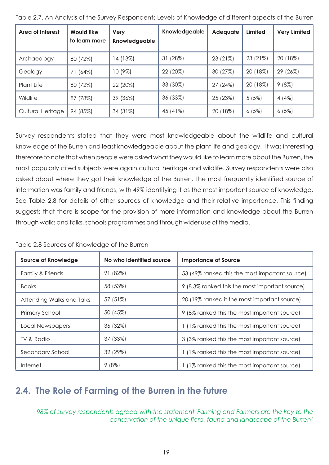| Area of Interest  | <b>Would like</b><br>to learn more | Very<br>Knowledgeable | Knowledgeable | Adequate | Limited  | <b>Very Limited</b> |
|-------------------|------------------------------------|-----------------------|---------------|----------|----------|---------------------|
| Archaeology       | 80 (72%)                           | 14 (13%)              | (28%)<br>31   | 23 (21%) | 23 (21%) | 20 (18%)            |
| Geology           | 71 (64%)                           | 10 (9%)               | 22 (20%)      | 30 (27%) | 20 (18%) | 29 (26%)            |
| Plant Life        | 80 (72%)                           | 22 (20%)              | 33 (30%)      | 27 (24%) | 20 (18%) | 9(8%)               |
| Wildlife          | 87 (78%)                           | 39 (36%)              | 36 (33%)      | 25 (23%) | 5(5%)    | 4(4%)               |
| Cultural Heritage | 94 (85%)                           | 34 (31%)              | 45 (41%)      | 20 (18%) | 6(5%)    | 6(5%)               |

Table 2.7. An Analysis of the Survey Respondents Levels of Knowledge of different aspects of the Burren

Survey respondents stated that they were most knowledgeable about the wildlife and cultural knowledge of the Burren and least knowledgeable about the plant life and geology. It was interesting therefore to note that when people were asked what they would like to learn more about the Burren, the most popularly cited subjects were again cultural heritage and wildlife. Survey respondents were also asked about where they got their knowledge of the Burren. The most frequently identified source of information was family and friends, with 49% identifying it as the most important source of knowledge. See Table 2.8 for details of other sources of knowledge and their relative importance. This finding suggests that there is scope for the provision of more information and knowledge about the Burren through walks and talks, schools programmes and through wider use of the media.

Table 2.8 Sources of Knowledge of the Burren

| <b>Source of Knowledge</b> | No who identified source | <b>Importance of Source</b>                    |  |  |
|----------------------------|--------------------------|------------------------------------------------|--|--|
| Family & Friends           | 91 (82%)                 | 53 (49% ranked this the most important source) |  |  |
| <b>Books</b>               | 58 (53%)                 | 9 (8.3% ranked this the most important source) |  |  |
| Attending Walks and Talks  | 57 (51%)                 | 20 (19% ranked it the most important source)   |  |  |
| Primary School             | 50 (45%)                 | 9 (8% ranked this the most important source)   |  |  |
| Local Newspapers           | 36 (32%)                 | 1 (1% ranked this the most important source)   |  |  |
| TV & Radio                 | 37 (33%)                 | 3 (3% ranked this the most important source)   |  |  |
| Secondary School           | 32 (29%)                 | 1 (1% ranked this the most important source)   |  |  |
| Internet                   | 9(8%)                    | (1% ranked this the most important source)     |  |  |

# **2.4. The Role of Farming of the Burren in the future**

*98% of survey respondents agreed with the statement 'Farming and Farmers are the key to the conservation of the unique flora, fauna and landscape of the Burren'*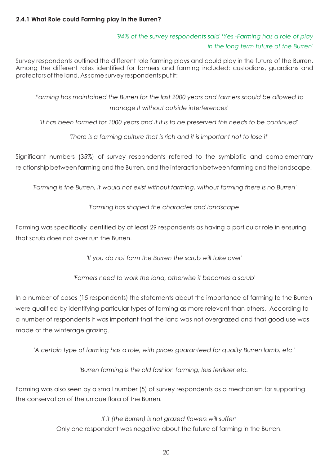#### **2.4.1 What Role could Farming play in the Burren?**

# *'94% of the survey respondents said 'Yes -Farming has a role of play in the long term future of the Burren'*

Survey respondents outlined the different role farming plays and could play in the future of the Burren. Among the different roles identified for farmers and farming included: custodians, guardians and protectors of the land. As some survey respondents put it:

*'Farming has maintained the Burren for the last 2000 years and farmers should be allowed to manage it without outside interferences'*

*'It has been farmed for 1000 years and if it is to be preserved this needs to be continued'*

*'There is a farming culture that is rich and it is important not to lose it'*

Significant numbers (35%) of survey respondents referred to the symbiotic and complementary relationship between farming and the Burren, and the interaction between farming and the landscape.

*'Farming is the Burren, it would not exist without farming, without farming there is no Burren'*

*'Farming has shaped the character and landscape'*

Farming was specifically identified by at least 29 respondents as having a particular role in ensuring that scrub does not over run the Burren.

*'If you do not farm the Burren the scrub will take over'*

*'Farmers need to work the land, otherwise it becomes a scrub'*

In a number of cases (15 respondents) the statements about the importance of farming to the Burren were qualified by identifying particular types of farming as more relevant than others. According to a number of respondents it was important that the land was not overgrazed and that good use was made of the winterage grazing.

*'A certain type of farming has a role, with prices guaranteed for quality Burren lamb, etc '*

*'Burren farming is the old fashion farming; less fertilizer etc.'*

Farming was also seen by a small number (5) of survey respondents as a mechanism for supporting the conservation of the unique flora of the Burren*.*

> *If it (the Burren) is not grazed flowers will suffer '* Only one respondent was negative about the future of farming in the Burren.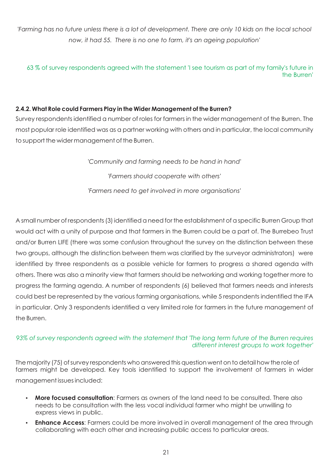*'Farming has no future unless there is a lot of development. There are only 10 kids on the local school now, it had 55. There is no one to farm, it's an ageing population'*

63 % of survey respondents agreed with the statement 'I see tourism as part of my family's future in the Burren'

#### **2.4.2. What Role could Farmers Play in the Wider Management of the Burren?**

Survey respondents identified a number of roles for farmers in the wider management of the Burren. The most popular role identified was as a partner working with others and in particular, the local community to support the wider management of the Burren.

> *'Community and farming needs to be hand in hand' 'Farmers should cooperate with others' 'Farmers need to get involved in more organisations'*

A small number of respondents (3) identified a need for the establishment of a specific Burren Group that would act with a unity of purpose and that farmers in the Burren could be a part of. The Burrebeo Trust and/or Burren LIFE (there was some confusion throughout the survey on the distinction between these two groups, although the distinction between them was clarified by the surveyor administrators) were identified by three respondents as a possible vehicle for farmers to progress a shared agenda with others. There was also a minority view that farmers should be networking and working together more to progress the farming agenda. A number of respondents (6) believed that farmers needs and interests could best be represented by the various farming organisations, while 5 respondents indentified the IFA in particular. Only 3 respondents identified a very limited role for farmers in the future management of the Burren.

#### *93% of survey respondents agreed with the statement that 'The long term future of the Burren requires different interest groups to work together'*

The majority (75) of survey respondents who answered this question went on to detail how the role of farmers might be developed. Key tools identified to support the involvement of farmers in wider management issues included:

- ?**More focused consultation**: Farmers as owners of the land need to be consulted. There also needs to be consultation with the less vocal individual farmer who might be unwilling to
- ?express views in public. **Enhance Access**: Farmers could be more involved in overall management of the area through collaborating with each other and increasing public access to particular areas.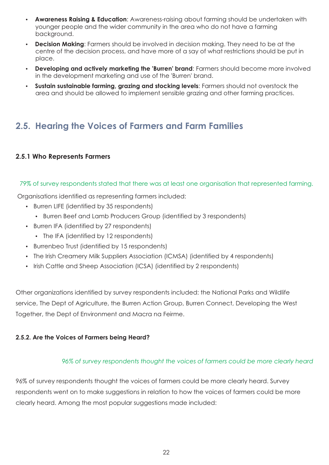- **Awareness Raising & Education:** Awareness-raising about farming should be undertaken with younger people and the wider community in the area who do not have a farming
- ?background. **Decision Making**: Farmers should be involved in decision making. They need to be at the centre of the decision process, and have more of a say of what restrictions should be put in
- place.<br> **Developing and actively marketing the 'Burren' brand**: Farmers should become more involved
- ?in the development marketing and use of the 'Burren' brand. **Sustain sustainable farming, grazing and stocking levels**: Farmers should not overstock the area and should be allowed to implement sensible grazing and other farming practices.

# **2.5. Hearing the Voices of Farmers and Farm Families**

#### **2.5.1 Who Represents Farmers**

#### 79% of survey respondents stated that there was at least one organisation that represented farming.

Organisations identified as representing farmers included:

- Burren LIFE (identified by 35 respondents)
- Burren LIFE (identified by 35 respondents)<br>Burren Beef and Lamb Producers Gro<br>Burren IFA (identified by 27 respondents) • Burren Beef and Lamb Producers Group (identified by 3 respondents)
- - The IFA (identified by 12 respondents)
- Burrenbeo Trust (identified by 15 respondents)
- Burrenbeo Trust (identified by 15 respondents)<br>• The Irish Creamery Milk Suppliers Association (I
- The Irish Creamery Milk Suppliers Association (ICMSA) (identified by 4 respondents)<br>• Irish Cattle and Sheep Association (ICSA) (identified by 2 respondents) • Irish Cattle and Sheep Association (ICSA) (identified by 2 respondents)

Other organizations identified by survey respondents included: the National Parks and Wildlife service, The Dept of Agriculture, the Burren Action Group, Burren Connect, Developing the West Together, the Dept of Environment and Macra na Feirme.

#### **2.5.2. Are the Voices of Farmers being Heard?**

#### *96% of survey respondents thought the voices of farmers could be more clearly heard*

96% of survey respondents thought the voices of farmers could be more clearly heard. Survey respondents went on to make suggestions in relation to how the voices of farmers could be more clearly heard. Among the most popular suggestions made included: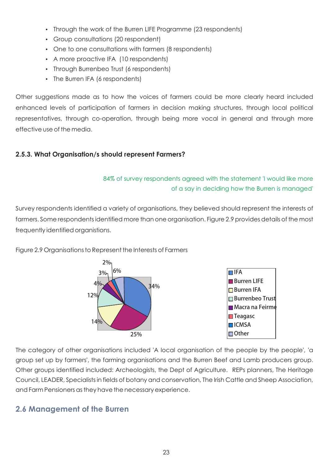- Through the work of the Burren LIFE Programme (23 respondents)<br>• Group consultations (20 respondent)
- 
- Group consultations (20 respondent)<br>• One to one consultations with farme • One to one consultations with farmers (8 respondents)<br>• A more proactive IFA (10 respondents)
- 
- A more proactive IFA (10 respondents)<br>• Through Burrenbeo Trust (6 respondents) • Through Burrenbeo Trust (6 respondents)<br>• The Burren IFA (6 respondents)
- The Burren IFA (6 respondents)

Other suggestions made as to how the voices of farmers could be more clearly heard included enhanced levels of participation of farmers in decision making structures, through local political representatives, through co-operation, through being more vocal in general and through more effective use of the media.

### **2.5.3. What Organisation/s should represent Farmers?**

### 84% of survey respondents agreed with the statement 'I would like more of a say in deciding how the Burren is managed'

Survey respondents identified a variety of organisations, they believed should represent the interests of farmers. Some respondents identified more than one organisation. Figure 2.9 provides details of the most frequently identified organistions.

Figure 2.9 Organisations to Represent the Interests of Farmers



The category of other organisations included 'A local organisation of the people by the people', 'a group set up by farmers', the farming organisations and the Burren Beef and Lamb producers group. Other groups identified included: Archeologists, the Dept of Agriculture. REPs planners, The Heritage Council, LEADER, Specialists in fields of botany and conservation, The Irish Cattle and Sheep Association, and Farm Pensioners as they have the necessary experience.

# **2.6 Management of the Burren**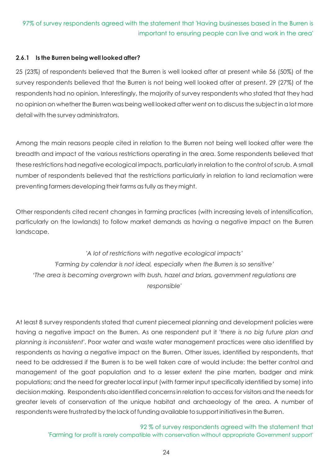#### 97% of survey respondents agreed with the statement that 'Having businesses based in the Burren is mportant to ensuring people can live and work in the area' i

#### **2.6.1 Is the Burren being well looked after?**

25 (23%) of respondents believed that the Burren is well looked after at present while 56 (50%) of the survey respondents believed that the Burren is not being well looked after at present. 29 (27%) of the respondents had no opinion. Interestingly, the majority of survey respondents who stated that they had no opinion on whether the Burren was being well looked after went on to discuss the subject in a lot more detail with the survey administrators.

Among the main reasons people cited in relation to the Burren not being well looked after were the breadth and impact of the various restrictions operating in the area. Some respondents believed that these restrictions had negative ecological impacts, particularly in relation to the control of scrub. A small number of respondents believed that the restrictions particularly in relation to land reclamation were preventing farmers developing their farms as fully as they might.

Other respondents cited recent changes in farming practices (with increasing levels of intensification, particularly on the lowlands) to follow market demands as having a negative impact on the Burren landscape.

*'A lot of restrictions with negative ecological impacts' 'Farming by calendar is not ideal, especially when the Burren is so sensitive' 'The area is becoming overgrown with bush, hazel and briars, government regulations are responsible'*

At least 8 survey respondents stated that current piecemeal planning and development policies were having a negative impact on the Burren. As one respondent put it *'there is no big future plan and planning is inconsistent'*. Poor water and waste water management practices were also identified by respondents as having a negative impact on the Burren. Other issues, identified by respondents, that need to be addressed if the Burren is to be well taken care of would include: the better control and management of the goat population and to a lesser extent the pine marten, badger and mink populations; and the need for greater local input (with farmer input specifically identified by some) into decision making. Respondents also identified concerns in relation to access for visitors and the needs for greater levels of conservation of the unique habitat and archaeology of the area. A number of respondents were frustrated by the lack of funding available to support initiatives in the Burren.

> 92 % of survey respondents agreed with the statement that 'Farming for profit is rarely compatible with conservation without appropriate Government support '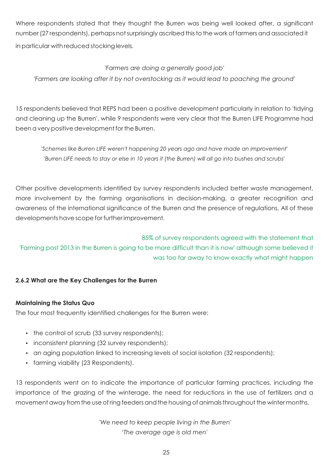Where respondents stated that they thought the Burren was being well looked after, a significant number (27 respondents), perhaps not surprisingly ascribed this to the work of farmers and associated it in particular with reduced stocking levels.

#### '*Farmers are doing a generally good job'*

*'Farmers are looking after it by not overstocking as it would lead to poaching the ground'*

15 respondents believed that REPS had been a positive development particularly in relation to 'tidying and cleaning up the Burren', while 9 respondents were very clear that the Burren LIFE Programme had been a very positive development for the Burren.

*'Schemes like Burren LIFE weren't happening 20 years ago and have made an improvement' 'Burren LIFE needs to stay or else in 10 years it (the Burren) will all go into bushes and scrubs'*

Other positive developments identified by survey respondents included better waste management, more involvement by the farming organisations in decision-making, a greater recognition and awareness of the international significance of the Burren and the presence of regulations. All of these developments have scope for further improvement.

85% of survey respondents agreed with the statement that 'Farming post 2013 in the Burren is going to be more difficult than it is now' although some believed it was too far away to know exactly what might happen

#### **2.6.2 What are the Key Challenges for the Burren**

#### **Maintaining the Status Quo**

The four most frequently identified challenges for the Burren were:

- 
- the control of scrub (33 survey respondents);<br>• inconsistent planning (32 survey respondents);
- ?inconsistent planning (32 survey respondents); • an aging population linked to increasing levels of social isolation (32 respondents);<br>• farming viability (23 Respondents).
- farming viability (23 Respondents).

13 respondents went on to indicate the importance of particular farming practices, including the importance of the grazing of the winterage, the need for reductions in the use of fertilizers and a movement away from the use of ring feeders and the housing of animals throughout the winter months.

> '*We need to keep people living in the Burren' 'The average age is old men'*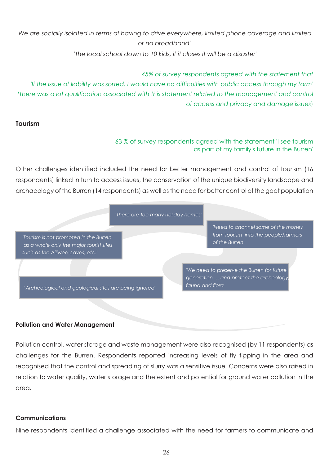# 'We are socially isolated in terms of having to drive everywhere, limited phone coverage and limited *or no broadband'*

 *'The local school down to 10 kids, if it closes it will be a disaster'*

#### *45% of survey respondents agreed with the statement that*

*'If the issue of liability was sorted, I would have no difficulties with public access through my farm' (There was a lot qualification associated with this statement related to the management and control of access and privacy and damage issues*)

#### **Tourism**

#### 63 % of survey respondents agreed with the statement 'I see tourism as part of my family's future in the Burren'

Other challenges identified included the need for better management and control of tourism (16 respondents) linked in turn to access issues, the conservation of the unique biodiversity landscape and archaeology of the Burren (14 respondents) as well as the need for better control of the goat population



#### **Pollution and Water Management**

Pollution control, water storage and waste management were also recognised (by 11 respondents) as challenges for the Burren. Respondents reported increasing levels of fly tipping in the area and recognised that the control and spreading of slurry was a sensitive issue. Concerns were also raised in relation to water quality, water storage and the extent and potential for ground water pollution in the area.

#### **Communications**

Nine respondents identified a challenge associated with the need for farmers to communicate and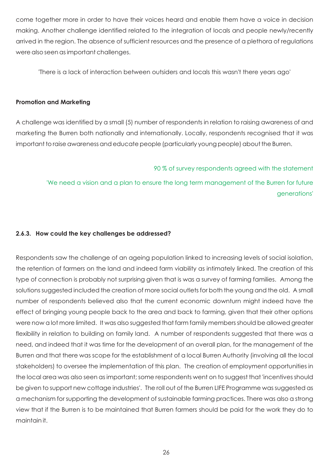come together more in order to have their voices heard and enable them have a voice in decision making. Another challenge identified related to the integration of locals and people newly/recently arrived in the region. The absence of sufficient resources and the presence of a plethora of regulations were also seen as important challenges.

'There is a lack of interaction between outsiders and locals this wasn't there years ago'

#### **Promotion and Marketing**

A challenge was identified by a small (5) number of respondents in relation to raising awareness of and marketing the Burren both nationally and internationally. Locally, respondents recognised that it was important to raise awareness and educate people (particularly young people) about the Burren.

#### 90 % of survey respondents agreed with the statement

'We need a vision and a plan to ensure the long term management of the Burren for future generations'

#### **2.6.3. How could the key challenges be addressed?**

Respondents saw the challenge of an ageing population linked to increasing levels of social isolation, the retention of farmers on the land and indeed farm viability as intimately linked. The creation of this type of connection is probably not surprising given that is was a survey of farming families. Among the solutions suggested included the creation of more social outlets for both the young and the old. A small number of respondents believed also that the current economic downturn might indeed have the effect of bringing young people back to the area and back to farming, given that their other options were now a lot more limited. It was also suggested that farm family members should be allowed greater flexibility in relation to building on family land. A number of respondents suggested that there was a need, and indeed that it was time for the development of an overall plan, for the management of the Burren and that there was scope for the establishment of a local Burren Authority (involving all the local stakeholders) to oversee the implementation of this plan. The creation of employment opportunities in the local area was also seen as important; some respondents went on to suggest that 'incentives should be given to support new cottage industries'. The roll out of the Burren LIFE Programme was suggested as a mechanism for supporting the development of sustainable farming practices. There was also a strong view that if the Burren is to be maintained that Burren farmers should be paid for the work they do to maintain it.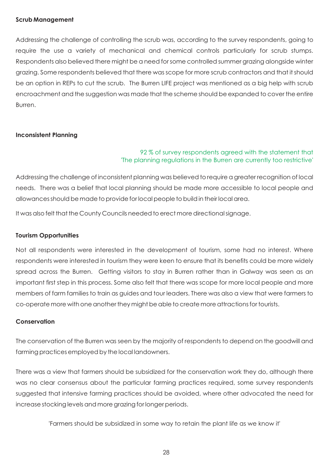#### **Scrub Management**

Addressing the challenge of controlling the scrub was, according to the survey respondents, going to require the use a variety of mechanical and chemical controls particularly for scrub stumps. Respondents also believed there might be a need for some controlled summer grazing alongside winter grazing. Some respondents believed that there was scope for more scrub contractors and that it should be an option in REPs to cut the scrub. The Burren LIFE project was mentioned as a big help with scrub encroachment and the suggestion was made that the scheme should be expanded to cover the entire Burren.

#### **Inconsistent Planning**

#### 92 % of survey respondents agreed with the statement that 'The planning regulations in the Burren are currently too restrictive'

Addressing the challenge of inconsistent planning was believed to require a greater recognition of local needs. There was a belief that local planning should be made more accessible to local people and allowances should be made to provide for local people to build in their local area.

It was also felt that the County Councils needed to erect more directional signage.

#### **Tourism Opportunities**

Not all respondents were interested in the development of tourism, some had no interest. Where respondents were interested in tourism they were keen to ensure that its benefits could be more widely spread across the Burren. Getting visitors to stay in Burren rather than in Galway was seen as an important first step in this process. Some also felt that there was scope for more local people and more members of farm families to train as guides and tour leaders. There was also a view that were farmers to co-operate more with one another they might be able to create more attractions for tourists.

#### **Conservation**

The conservation of the Burren was seen by the majority of respondents to depend on the goodwill and farming practices employed by the local landowners.

There was a view that farmers should be subsidized for the conservation work they do, although there was no clear consensus about the particular farming practices required, some survey respondents suggested that intensive farming practices should be avoided, where other advocated the need for increase stocking levels and more grazing for longer periods.

'Farmers should be subsidized in some way to retain the plant life as we know it'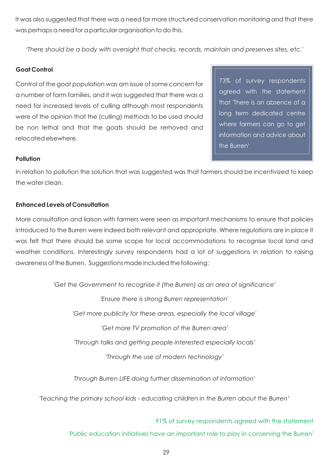It was also suggested that there was a need for more structured conservation monitoring and that there was perhaps a need for a particular organisation to do this.

*'There should be a body with oversight that checks, records, maintain and preserves sites, etc.'*

#### **Goat Control**

Control of the goat population was am issue of some concern for a number of farm families, and it was suggested that there was a need for increased levels of culling although most respondents were of the opinion that the (culling) methods to be used should be non lethal and that the goats should be removed and relocated elsewhere.

73% of survey respondents agreed with the statement that 'There is an absence of a long term dedicated centre where farmers can go to get information and advice about the Burren'

#### **Pollution**

In relation to pollution the solution that was suggested was that farmers should be incentivized to keep the water clean.

#### **Enhanced Levels of Consultation**

More consultation and liaison with farmers were seen as important mechanisms to ensure that policies introduced to the Burren were indeed both relevant and appropriate. Where regulations are in place it was felt that there should be some scope for local accommodations to recognise local land and weather conditions. Interestingly survey respondents had a lot of suggestions in relation to raising awareness of the Burren. Suggestions made included the following:

*'Get the Government to recognise it (the Burren) as an area of significance'*

*'Ensure there is strong Burren representation' 'Get more publicity for these areas, especially the local village' 'Get more TV promotion of the Burren area' 'Through talks and getting people interested especially locals' 'Through the use of modern technology'*

*Through Burren LIFE doing further dissemination of information'*

*'Teaching the primary school kids - educating children in the Burren about the Burren'*

91% of survey respondents agreed with the statement 'Public education initiatives have an important role to play in conserving the Burren'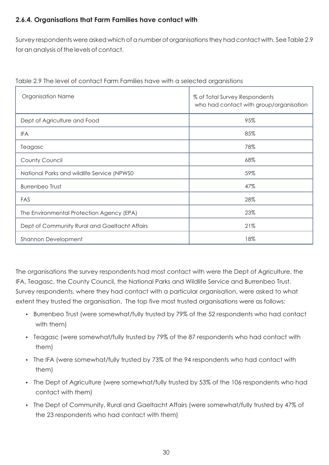### **2.6.4. Organisations that Farm Families have contact with**

Survey respondents were asked which of a number of organisations they had contact with. See Table 2.9 for an analysis of the levels of contact.

| <b>Organisation Name</b>                      | % of Total Survey Respondents<br>who had contact with group/organisation |  |  |
|-----------------------------------------------|--------------------------------------------------------------------------|--|--|
| Dept of Agriculture and Food                  | 95%                                                                      |  |  |
| <b>IFA</b>                                    | 85%                                                                      |  |  |
| Teagasc                                       | 78%                                                                      |  |  |
| County Council                                | 68%                                                                      |  |  |
| National Parks and wildlife Service (NPWS0    | 59%                                                                      |  |  |
| <b>Burrenbeo Trust</b>                        | 47%                                                                      |  |  |
| FAS                                           | 28%                                                                      |  |  |
| The Environmental Protection Agency (EPA)     | 23%                                                                      |  |  |
| Dept of Community Rural and Gaeltacht Affairs | 21%                                                                      |  |  |
| Shannon Development                           | 18%                                                                      |  |  |

| Table 2.9 The level of contact Farm Families have with a selected organistions |  |  |
|--------------------------------------------------------------------------------|--|--|
|                                                                                |  |  |

The organisations the survey respondents had most contact with were the Dept of Agriculture, the IFA, Teagasc, the County Council, the National Parks and Wildlife Service and Burrenbeo Trust. Survey respondents, where they had contact with a particular organisation, were asked to what extent they trusted the organisation. The top five most trusted organisations were as follows:

- Burrenbeo Trust (were somewhat/fully trusted by 79% of the 52 respondents who had contact
- ?with them) Teagasc (were somewhat/fully trusted by 79% of the 87 respondents who had contact with
- ?them) The IFA (were somewhat/fully trusted by 73% of the 94 respondents who had contact with
- them)<br>The Dept of Agriculture (were somewhat/fully trusted by 53% of the 106 respondents who had •
- ?contact with them) The Dept of Community, Rural and Gaeltacht Affairs (were somewhat/fully trusted by 47% of the 23 respondents who had contact with them)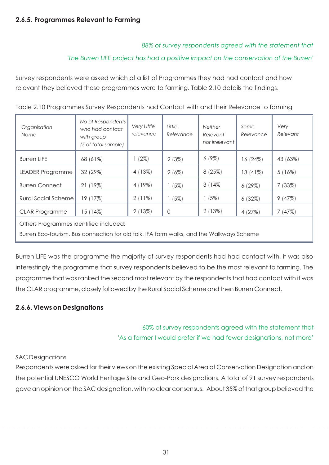*88% of survey respondents agreed with the statement that* 

#### *'The Burren LIFE project has had a positive impact on the conservation of the Burren'*

Survey respondents were asked which of a list of Programmes they had had contact and how relevant they believed these programmes were to farming. Table 2.10 details the findings.

| Organisation<br>Name                                                                     | No of Respondents<br>who had contact<br>with group<br>(5 of total sample) | Very Little<br>relevance | Little<br>Relevance | <b>Neither</b><br>Relevant<br>nor irrelevant | Some<br>Relevance | Very<br>Relevant |
|------------------------------------------------------------------------------------------|---------------------------------------------------------------------------|--------------------------|---------------------|----------------------------------------------|-------------------|------------------|
| <b>Burren LIFE</b>                                                                       | 68 (61%)                                                                  | (2%)                     | 2(3%)               | 6(9%)                                        | 16 (24%)          | 43 (63%)         |
| <b>LEADER Programme</b>                                                                  | 32 (29%)                                                                  | 4 (13%)                  | 2(6%)               | 8(25%)                                       | 13 (41%)          | $5(16\%)$        |
| <b>Burren Connect</b>                                                                    | 21 (19%)                                                                  | 4 (19%)                  | 1(5%)               | 3(14%                                        | 6(29%)            | 7(33%)           |
| <b>Rural Social Scheme</b>                                                               | 19 (17%)                                                                  | $2(11\%)$                | 1(5%)               | (5%)                                         | 6(32%)            | 9(47%)           |
| <b>CLAR Programme</b>                                                                    | 15 (14%)                                                                  | 2(13%)                   | 0                   | 2(13%)                                       | 4(27%)            | 7(47%)           |
| Others Programmes identified included:                                                   |                                                                           |                          |                     |                                              |                   |                  |
| Burren Eco-tourism, Bus connection for old folk, IFA farm walks, and the Walkways Scheme |                                                                           |                          |                     |                                              |                   |                  |

Table 2.10 Programmes Survey Respondents had Contact with and their Relevance to farming

Burren LIFE was the programme the majority of survey respondents had had contact with, it was also interestingly the programme that survey respondents believed to be the most relevant to farming. The programme that was ranked the second most relevant by the respondents that had contact with it was the CLAR programme, closely followed by the Rural Social Scheme and then Burren Connect.

#### **2.6.6. Views on Designations**

60% of survey respondents agreed with the statement that 'As a farmer I would prefer if we had fewer designations, not more'

#### SAC Designations

Respondents were asked for their views on the existing Special Area of Conservation Designation and on the potential UNESCO World Heritage Site and Geo-Park designations. A total of 91 survey respondents gave an opinion on the SAC designation, with no clear consensus. About 35% of that group believed the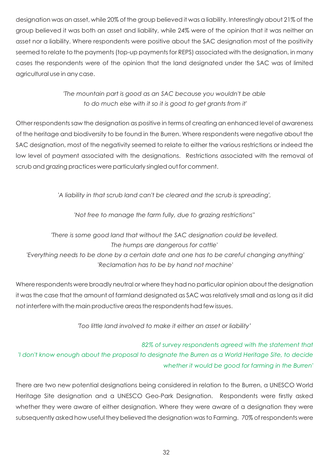designation was an asset, while 20% of the group believed it was a liability. Interestingly about 21% of the group believed it was both an asset and liability, while 24% were of the opinion that it was neither an asset nor a liability. Where respondents were positive about the SAC designation most of the positivity seemed to relate to the payments (top-up payments for REPS) associated with the designation, in many cases the respondents were of the opinion that the land designated under the SAC was of limited agricultural use in any case.

# *'The mountain part is good as an SAC because you wouldn't be able to do much else with it so it is good to get grants from it'*

Other respondents saw the designation as positive in terms of creating an enhanced level of awareness of the heritage and biodiversity to be found in the Burren. Where respondents were negative about the SAC designation, most of the negativity seemed to relate to either the various restrictions or indeed the low level of payment associated with the designations. Restrictions associated with the removal of scrub and grazing practices were particularly singled out for comment.

*'A liability in that scrub land can't be cleared and the scrub is spreading',*

*'Not free to manage the farm fully, due to grazing restrictions''*

*'There is some good land that without the SAC designation could be levelled. The humps are dangerous for cattle' 'Everything needs to be done by a certain date and one has to be careful changing anything' 'Reclamation has to be by hand not machine'*

Where respondents were broadly neutral or where they had no particular opinion about the designation it was the case that the amount of farmland designated as SAC was relatively small and as long as it did not interfere with the main productive areas the respondents had few issues.

*'Too little land involved to make it either an asset or liability'*

*82% of survey respondents agreed with the statement that 'I don't know enough about the proposal to designate the Burren as a World Heritage Site, to decide whether it would be good for farming in the Burren'*

There are two new potential designations being considered in relation to the Burren, a UNESCO World Heritage Site designation and a UNESCO Geo-Park Designation. Respondents were firstly asked whether they were aware of either designation. Where they were aware of a designation they were subsequently asked how useful they believed the designation was to Farming. 70% of respondents were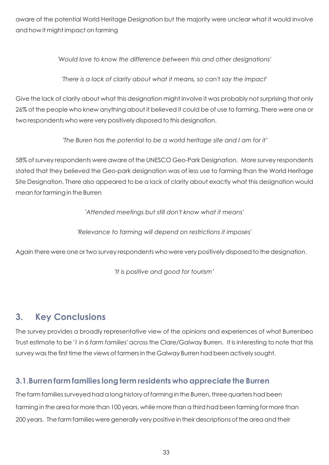aware of the potential World Heritage Designation but the majority were unclear what it would involve and how it might impact on farming

*'Would love to know the difference between this and other designations'*

*'There is a lack of clarity about what it means, so can't say the impact'*

Give the lack of clarity about what this designation might involve it was probably not surprising that only 26% of the people who knew anything about it believed it could be of use to farming. There were one or two respondents who were very positively disposed to this designation.

 *'The Buren has the potential to be a world heritage site and I am for it'*

58% of survey respondents were aware of the UNESCO Geo-Park Designation. More survey respondents stated that they believed the Geo-park designation was of less use to farming than the World Heritage Site Designation. There also appeared to be a lack of clarity about exactly what this designation would mean for farming in the Burren

*'Attended meetings but still don't know what it means'*

*'Relevance to farming will depend on restrictions it imposes'*

Again there were one or two survey respondents who were very positively disposed to the designation.

*'It is positive and good for tourism'*

# **3. Key Conclusions**

The survey provides a broadly representative view of the opinions and experiences of what Burrenbeo Trust estimate to be *'1 in 6 farm families'* across the Clare/Galway Burren. It is interesting to note that this survey was the first time the views of farmers in the Galway Burren had been actively sought.

# **3.1.Burren farm families long term residents who appreciate the Burren**

The farm families surveyed had a long history of farming in the Burren, three quarters had been farming in the area for more than 100 years, while more than a third had been farming for more than 200 years. The farm families were generally very positive in their descriptions of the area and their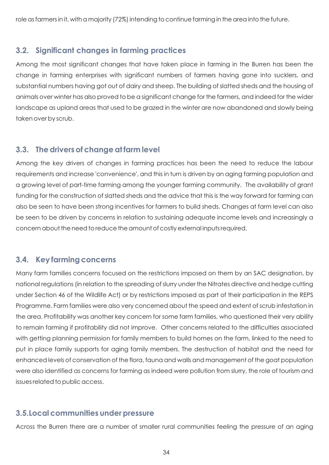role as farmers in it, with a majority (72%) intending to continue farming in the area into the future.

# **3.2. Significant changes in farming practices**

Among the most significant changes that have taken place in farming in the Burren has been the change in farming enterprises with significant numbers of farmers having gone into sucklers, and substantial numbers having got out of dairy and sheep. The building of slatted sheds and the housing of animals over winter has also proved to be a significant change for the farmers, and indeed for the wider landscape as upland areas that used to be grazed in the winter are now abandoned and slowly being taken over by scrub.

# **3.3. The drivers of change at farm level**

Among the key drivers of changes in farming practices has been the need to reduce the labour requirements and increase 'convenience', and this in turn is driven by an aging farming population and a growing level of part-time farming among the younger farming community. The availability of grant funding for the construction of slatted sheds and the advice that this is the way forward for farming can also be seen to have been strong incentives for farmers to build sheds. Changes at farm level can also be seen to be driven by concerns in relation to sustaining adequate income levels and increasingly a concern about the need to reduce the amount of costly external inputs required.

# **3.4. Key farming concerns**

Many farm families concerns focused on the restrictions imposed on them by an SAC designation, by national regulations (in relation to the spreading of slurry under the Nitrates directive and hedge cutting under Section 46 of the Wildlife Act) or by restrictions imposed as part of their participation in the REPS Programme. Farm families were also very concerned about the speed and extent of scrub infestation in the area. Profitability was another key concern for some farm families, who questioned their very ability to remain farming if profitability did not improve. Other concerns related to the difficulties associated with getting planning permission for family members to build homes on the farm, linked to the need to put in place family supports for aging family members. The destruction of habitat and the need for enhanced levels of conservation of the flora, fauna and walls and management of the goat population were also identified as concerns for farming as indeed were pollution from slurry, the role of tourism and issues related to public access.

# **3.5.Local communities under pressure**

Across the Burren there are a number of smaller rural communities feeling the pressure of an aging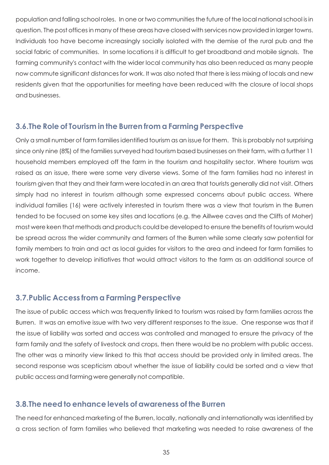population and falling school roles. In one or two communities the future of the local national school is in question. The post offices in many of these areas have closed with services now provided in larger towns. Individuals too have become increasingly socially isolated with the demise of the rural pub and the social fabric of communities. In some locations it is difficult to get broadband and mobile signals. The farming community's contact with the wider local community has also been reduced as many people now commute significant distances for work. It was also noted that there is less mixing of locals and new residents given that the opportunities for meeting have been reduced with the closure of local shops and businesses.

### **3.6.The Role of Tourism in the Burren from a Farming Perspective**

Only a small number of farm families identified tourism as an issue for them. This is probably not surprising since only nine (8%) of the families surveyed had tourism based businesses on their farm, with a further 11 household members employed off the farm in the tourism and hospitality sector. Where tourism was raised as an issue, there were some very diverse views. Some of the farm families had no interest in tourism given that they and their farm were located in an area that tourists generally did not visit. Others simply had no interest in tourism although some expressed concerns about public access. Where individual families (16) were actively interested in tourism there was a view that tourism in the Burren tended to be focused on some key sites and locations (e.g. the Aillwee caves and the Cliffs of Moher) most were keen that methods and products could be developed to ensure the benefits of tourism would be spread across the wider community and farmers of the Burren while some clearly saw potential for family members to train and act as local guides for visitors to the area and indeed for farm families to work together to develop initiatives that would attract visitors to the farm as an additional source of income.

# **3.7.Public Access from a Farming Perspective**

The issue of public access which was frequently linked to tourism was raised by farm families across the Burren. It was an emotive issue with two very different responses to the issue. One response was that if the issue of liability was sorted and access was controlled and managed to ensure the privacy of the farm family and the safety of livestock and crops, then there would be no problem with public access. The other was a minority view linked to this that access should be provided only in limited areas. The second response was scepticism about whether the issue of liability could be sorted and a view that public access and farming were generally not compatible.

# **3.8.The need to enhance levels of awareness of the Burren**

The need for enhanced marketing of the Burren, locally, nationally and internationally was identified by a cross section of farm families who believed that marketing was needed to raise awareness of the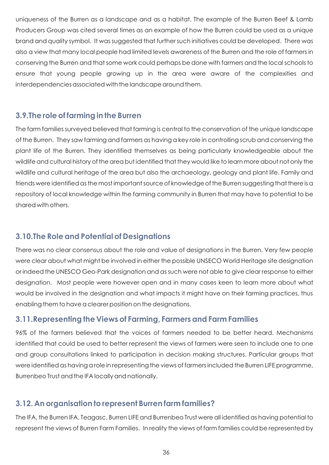uniqueness of the Burren as a landscape and as a habitat. The example of the Burren Beef & Lamb Producers Group was cited several times as an example of how the Burren could be used as a unique brand and quality symbol. It was suggested that further such initiatives could be developed. There was also a view that many local people had limited levels awareness of the Burren and the role of farmers in conserving the Burren and that some work could perhaps be done with farmers and the local schools to ensure that young people growing up in the area were aware of the complexities and interdependencies associated with the landscape around them.

# **3.9.The role of farming in the Burren**

The farm families surveyed believed that farming is central to the conservation of the unique landscape of the Burren. They saw farming and farmers as having a key role in controlling scrub and conserving the plant life of the Burren. They identified themselves as being particularly knowledgeable about the wildlife and cultural history of the area but identified that they would like to learn more about not only the wildlife and cultural heritage of the area but also the archaeology, geology and plant life. Family and friends were identified as the most important source of knowledge of the Burren suggesting that there is a repository of local knowledge within the farming community in Burren that may have to potential to be shared with others.

# **3.10.The Role and Potential of Designations**

There was no clear consensus about the role and value of designations in the Burren. Very few people were clear about what might be involved in either the possible UNSECO World Heritage site designation or indeed the UNESCO Geo-Park designation and as such were not able to give clear response to either designation. Most people were however open and in many cases keen to learn more about what would be involved in the designation and what impacts it might have on their farming practices, thus enabling them to have a clearer position on the designations.

# **3.11.Representing the Views of Farming, Farmers and Farm Families**

96% of the farmers believed that the voices of farmers needed to be better heard. Mechanisms identified that could be used to better represent the views of farmers were seen to include one to one and group consultations linked to participation in decision making structures. Particular groups that were identified as having a role in representing the views of farmers included the Burren LIFE programme, Burrenbeo Trust and the IFA locally and nationally.

# **3.12. An organisation to represent Burren farm families?**

The IFA, the Burren IFA, Teagasc, Burren LIFE and Burrenbeo Trust were all identified as having potential to represent the views of Burren Farm Families. In reality the views of farm families could be represented by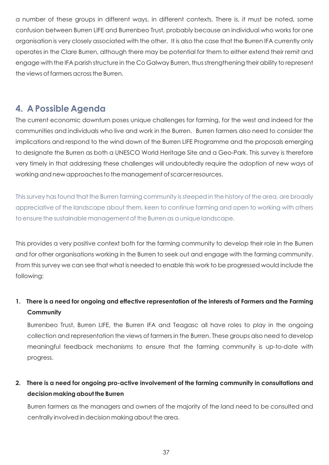a number of these groups in different ways, in different contexts. There is, it must be noted, some confusion between Burren LIFE and Burrenbeo Trust, probably because an individual who works for one organisation is very closely associated with the other. It is also the case that the Burren IFA currently only operates in the Clare Burren, although there may be potential for them to either extend their remit and engage with the IFA parish structure in the Co Galway Burren, thus strengthening their ability to represent the views of farmers across the Burren.

# **4. A Possible Agenda**

The current economic downturn poses unique challenges for farming, for the west and indeed for the communities and individuals who live and work in the Burren. Burren farmers also need to consider the implications and respond to the wind down of the Burren LIFE Programme and the proposals emerging to designate the Burren as both a UNESCO World Heritage Site and a Geo-Park. This survey is therefore very timely in that addressing these challenges will undoubtedly require the adoption of new ways of working and new approaches to the management of scarcer resources.

This survey has found that the Burren farming community is steeped in the history of the area, are broadly appreciative of the landscape about them, keen to continue farming and open to working with others to ensure the sustainable management of the Burren as a unique landscape.

This provides a very positive context both for the farming community to develop their role in the Burren and for other organisations working in the Burren to seek out and engage with the farming community. From this survey we can see that what is needed to enable this work to be progressed would include the following:

# **1. There is a need for ongoing and effective representation of the interests of Farmers and the Farming Community**

Burrenbeo Trust, Burren LIFE, the Burren IFA and Teagasc all have roles to play in the ongoing collection and representation the views of farmers in the Burren. These groups also need to develop meaningful feedback mechanisms to ensure that the farming community is up-to-date with progress.

# **2. There is a need for ongoing pro-active involvement of the farming community in consultations and decision making about the Burren**

Burren farmers as the managers and owners of the majority of the land need to be consulted and centrally involved in decision making about the area.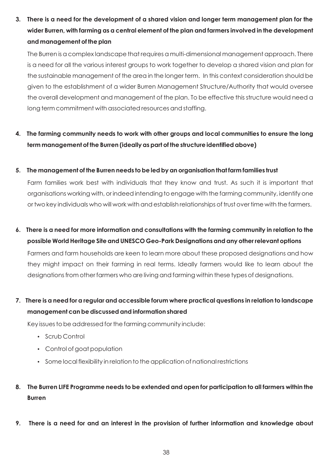**3. There is a need for the development of a shared vision and longer term management plan for the wider Burren, with farming as a central element of the plan and farmers involved in the development and management of the plan**

The Burren is a complex landscape that requires a multi-dimensional management approach. There is a need for all the various interest groups to work together to develop a shared vision and plan for the sustainable management of the area in the longer term. In this context consideration should be given to the establishment of a wider Burren Management Structure/Authority that would oversee the overall development and management of the plan. To be effective this structure would need a long term commitment with associated resources and staffing.

# **4. The farming community needs to work with other groups and local communities to ensure the long term management of the Burren (ideally as part of the structure identified above)**

#### **5. The management of the Burren needs to be led by an organisation that farm families trust**

Farm families work best with individuals that they know and trust. As such it is important that organisations working with, or indeed intending to engage with the farming community, identify one or two key individuals who will work with and establish relationships of trust over time with the farmers.

- **6. There is a need for more information and consultations with the farming community in relation to the possible World Heritage Site and UNESCO Geo-Park Designations and any other relevant options** Farmers and farm households are keen to learn more about these proposed designations and how they might impact on their farming in real terms. Ideally farmers would like to learn about the
- **7. There is a need for a regular and accessible forum where practical questions in relation to landscape**

designations from other farmers who are living and farming within these types of designations.

# **management can be discussed and information shared**

Key issues to be addressed for the farming community include:<br>• Scrub Control

- 
- Scrub Control<br>• Control of goat population
- Control of goat population<br>• Some local flexibility in relation to the application of national restrictions
- **8. The Burren LIFE Programme needs to be extended and open for participation to all farmers within the Burren**
- **9. There is a need for and an interest in the provision of further information and knowledge about**